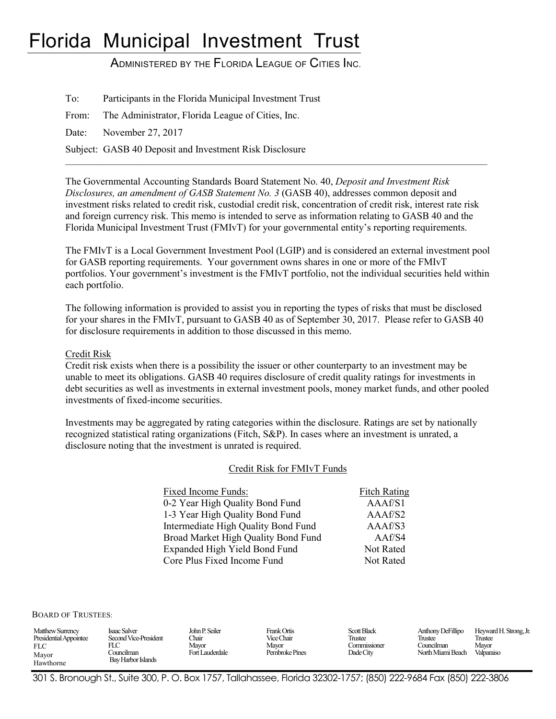# Florida Municipal Investment Trust

ADMINISTERED BY THE FLORIDA LEAGUE OF CITIES INC.

To: Participants in the Florida Municipal Investment Trust

From: The Administrator, Florida League of Cities, Inc.

Date: November 27, 2017

Subject: GASB 40 Deposit and Investment Risk Disclosure

The Governmental Accounting Standards Board Statement No. 40, *Deposit and Investment Risk Disclosures, an amendment of GASB Statement No. 3* (GASB 40), addresses common deposit and investment risks related to credit risk, custodial credit risk, concentration of credit risk, interest rate risk and foreign currency risk. This memo is intended to serve as information relating to GASB 40 and the Florida Municipal Investment Trust (FMIvT) for your governmental entity's reporting requirements.

 $\mathcal{L}_\mathcal{L} = \{ \mathcal{L}_\mathcal{L} = \{ \mathcal{L}_\mathcal{L} = \{ \mathcal{L}_\mathcal{L} = \{ \mathcal{L}_\mathcal{L} = \{ \mathcal{L}_\mathcal{L} = \{ \mathcal{L}_\mathcal{L} = \{ \mathcal{L}_\mathcal{L} = \{ \mathcal{L}_\mathcal{L} = \{ \mathcal{L}_\mathcal{L} = \{ \mathcal{L}_\mathcal{L} = \{ \mathcal{L}_\mathcal{L} = \{ \mathcal{L}_\mathcal{L} = \{ \mathcal{L}_\mathcal{L} = \{ \mathcal{L}_\mathcal{$ 

The FMIvT is a Local Government Investment Pool (LGIP) and is considered an external investment pool for GASB reporting requirements. Your government owns shares in one or more of the FMIvT portfolios. Your government's investment is the FMIvT portfolio, not the individual securities held within each portfolio.

The following information is provided to assist you in reporting the types of risks that must be disclosed for your shares in the FMIvT, pursuant to GASB 40 as of September 30, 2017. Please refer to GASB 40 for disclosure requirements in addition to those discussed in this memo.

Credit Risk

Credit risk exists when there is a possibility the issuer or other counterparty to an investment may be unable to meet its obligations. GASB 40 requires disclosure of credit quality ratings for investments in debt securities as well as investments in external investment pools, money market funds, and other pooled investments of fixed-income securities.

Investments may be aggregated by rating categories within the disclosure. Ratings are set by nationally recognized statistical rating organizations (Fitch, S&P). In cases where an investment is unrated, a disclosure noting that the investment is unrated is required.

#### Credit Risk for FMIvT Funds

| Fixed Income Funds:                 | <b>Fitch Rating</b> |
|-------------------------------------|---------------------|
| 0-2 Year High Quality Bond Fund     | AAAf/S1             |
| 1-3 Year High Quality Bond Fund     | AAAf/S2             |
| Intermediate High Quality Bond Fund | AAAf/S3             |
| Broad Market High Quality Bond Fund | AAf/S4              |
| Expanded High Yield Bond Fund       | Not Rated           |
| Core Plus Fixed Income Fund         | Not Rated           |

BOARD OF TRUSTEES:

301 S. Bronough St., Suite 300, P. O. Box 1757, Tallahassee, Florida 32302-1757; (850) 222-9684 Fax (850) 222-3806